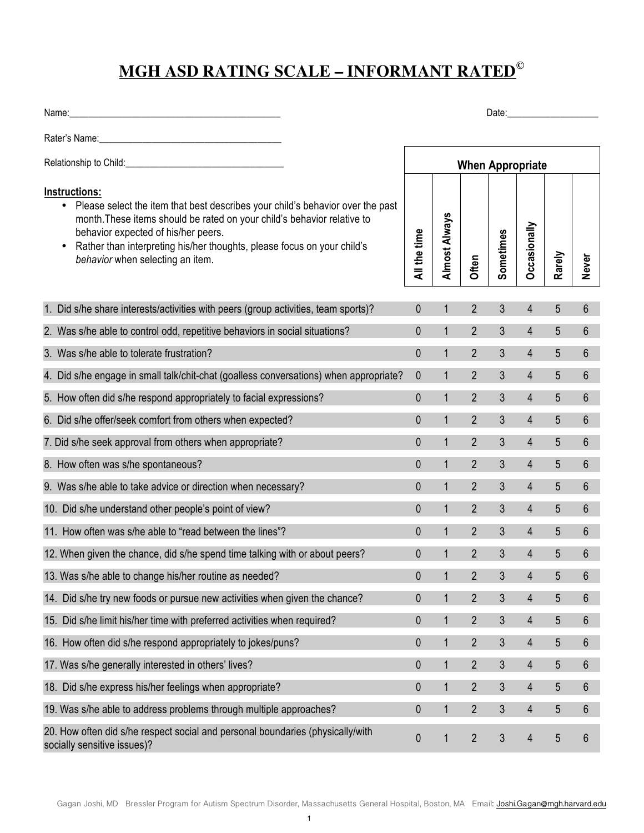## **MGH ASD RATING SCALE – INFORMANT RATED©**

Name:\_\_\_\_\_\_\_\_\_\_\_\_\_\_\_\_\_\_\_\_\_\_\_\_\_\_\_\_\_\_\_\_\_\_\_\_\_\_\_\_\_\_\_\_ Date:\_\_\_\_\_\_\_\_\_\_\_\_\_\_\_\_\_\_\_

Rater's Name:\_\_\_\_\_\_\_\_\_\_\_\_\_\_\_\_\_\_\_\_\_\_\_\_\_\_\_\_\_\_\_\_\_\_\_\_\_\_

| Relationship to Child:                                                                                                                                                                                                                                                                                                                        | <b>When Appropriate</b> |               |                |           |                |        |                |  |  |
|-----------------------------------------------------------------------------------------------------------------------------------------------------------------------------------------------------------------------------------------------------------------------------------------------------------------------------------------------|-------------------------|---------------|----------------|-----------|----------------|--------|----------------|--|--|
| Instructions:<br>Please select the item that best describes your child's behavior over the past<br>$\bullet$<br>month. These items should be rated on your child's behavior relative to<br>behavior expected of his/her peers.<br>Rather than interpreting his/her thoughts, please focus on your child's<br>behavior when selecting an item. | All the time            | Almost Always | Often          | Sometimes | Occasionally   | Rarely | <b>Never</b>   |  |  |
| 1. Did s/he share interests/activities with peers (group activities, team sports)?                                                                                                                                                                                                                                                            | $\mathbf{0}$            | $\mathbf{1}$  | $\overline{2}$ | 3         | $\overline{4}$ | 5      | 6              |  |  |
| 2. Was s/he able to control odd, repetitive behaviors in social situations?                                                                                                                                                                                                                                                                   | 0                       | $\mathbf{1}$  | $\overline{2}$ | 3         | $\overline{4}$ | 5      | 6              |  |  |
| 3. Was s/he able to tolerate frustration?                                                                                                                                                                                                                                                                                                     | $\mathbf 0$             | $\mathbf{1}$  | $\overline{2}$ | 3         | $\overline{4}$ | 5      | 6              |  |  |
| 4. Did s/he engage in small talk/chit-chat (goalless conversations) when appropriate?                                                                                                                                                                                                                                                         | $\boldsymbol{0}$        | $\mathbf{1}$  | $\overline{2}$ | 3         | $\overline{4}$ | 5      | 6              |  |  |
| 5. How often did s/he respond appropriately to facial expressions?                                                                                                                                                                                                                                                                            | $\mathbf 0$             | $\mathbf{1}$  | $\overline{2}$ | 3         | $\overline{4}$ | 5      | 6              |  |  |
| 6. Did s/he offer/seek comfort from others when expected?                                                                                                                                                                                                                                                                                     | 0                       | $\mathbf{1}$  | $\overline{2}$ | 3         | $\overline{4}$ | 5      | 6              |  |  |
| 7. Did s/he seek approval from others when appropriate?                                                                                                                                                                                                                                                                                       | $\mathbf 0$             | $\mathbf{1}$  | $\overline{2}$ | 3         | 4              | 5      | 6              |  |  |
| 8. How often was s/he spontaneous?                                                                                                                                                                                                                                                                                                            | $\mathbf{0}$            | $\mathbf{1}$  | $\overline{2}$ | 3         | 4              | 5      | $6\phantom{1}$ |  |  |
| 9. Was s/he able to take advice or direction when necessary?                                                                                                                                                                                                                                                                                  | $\mathbf 0$             | $\mathbf{1}$  | $\overline{2}$ | 3         | 4              | 5      | 6              |  |  |
| 10. Did s/he understand other people's point of view?                                                                                                                                                                                                                                                                                         | $\mathbf{0}$            | $\mathbf{1}$  | $\overline{2}$ | 3         | $\overline{4}$ | 5      | 6              |  |  |
| 11. How often was s/he able to "read between the lines"?                                                                                                                                                                                                                                                                                      | 0                       | $\mathbf{1}$  | $\overline{2}$ | 3         | $\overline{4}$ | 5      | 6              |  |  |
| 12. When given the chance, did s/he spend time talking with or about peers?                                                                                                                                                                                                                                                                   | $\mathbf 0$             | $\mathbf{1}$  | $\overline{2}$ | 3         | 4              | 5      | $6\phantom{1}$ |  |  |
| 13. Was s/he able to change his/her routine as needed?                                                                                                                                                                                                                                                                                        | 0                       | $\mathbf{1}$  | $\overline{2}$ | 3         | $\overline{4}$ | 5      | 6              |  |  |
| 14. Did s/he try new foods or pursue new activities when given the chance?                                                                                                                                                                                                                                                                    | $\mathbf{0}$            | $\mathbf{1}$  | $\overline{2}$ | 3         | 4              | 5      | $6\phantom{1}$ |  |  |
| 15. Did s/he limit his/her time with preferred activities when required?                                                                                                                                                                                                                                                                      | 0                       | 1             | $\overline{2}$ | 3         | 4              | 5      | 6              |  |  |
| 16. How often did s/he respond appropriately to jokes/puns?                                                                                                                                                                                                                                                                                   | $\mathbf{0}$            | $\mathbf{1}$  | $\overline{2}$ | 3         | $\overline{4}$ | 5      | 6              |  |  |
| 17. Was s/he generally interested in others' lives?                                                                                                                                                                                                                                                                                           | $\pmb{0}$               | $\mathbf{1}$  | $\overline{2}$ | 3         | 4              | 5      | 6              |  |  |
| 18. Did s/he express his/her feelings when appropriate?                                                                                                                                                                                                                                                                                       | $\pmb{0}$               | $\mathbf{1}$  | $\overline{2}$ | 3         | $\overline{4}$ | 5      | 6              |  |  |
| 19. Was s/he able to address problems through multiple approaches?                                                                                                                                                                                                                                                                            | 0                       | $\mathbf{1}$  | $\overline{2}$ | 3         | 4              | 5      | 6              |  |  |
| 20. How often did s/he respect social and personal boundaries (physically/with<br>socially sensitive issues)?                                                                                                                                                                                                                                 | $\pmb{0}$               | $\mathbf 1$   | $\overline{2}$ | 3         | 4              | 5      | $6\phantom{1}$ |  |  |

1